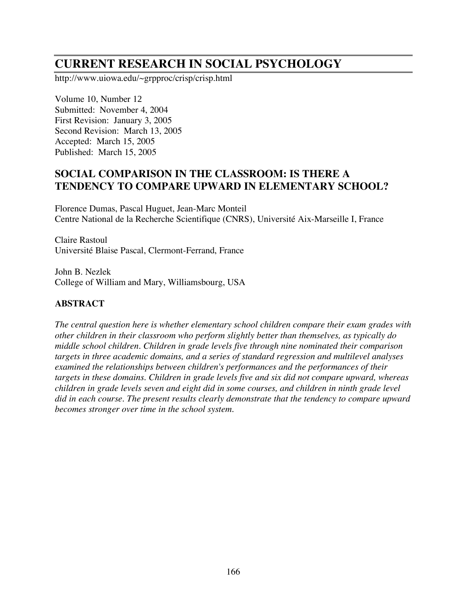# **CURRENT RESEARCH IN SOCIAL PSYCHOLOGY**

http://www.uiowa.edu/~grpproc/crisp/crisp.html

Volume 10, Number 12 Submitted: November 4, 2004 First Revision: January 3, 2005 Second Revision: March 13, 2005 Accepted: March 15, 2005 Published: March 15, 2005

# **SOCIAL COMPARISON IN THE CLASSROOM: IS THERE A TENDENCY TO COMPARE UPWARD IN ELEMENTARY SCHOOL?**

Florence Dumas, Pascal Huguet, Jean-Marc Monteil Centre National de la Recherche Scientifique (CNRS), Université Aix-Marseille I, France

Claire Rastoul Université Blaise Pascal, Clermont-Ferrand, France

John B. Nezlek College of William and Mary, Williamsbourg, USA

# **ABSTRACT**

*The central question here is whether elementary school children compare their exam grades with other children in their classroom who perform slightly better than themselves, as typically do middle school children. Children in grade levels five through nine nominated their comparison targets in three academic domains, and a series of standard regression and multilevel analyses examined the relationships between children's performances and the performances of their targets in these domains. Children in grade levels five and six did not compare upward, whereas children in grade levels seven and eight did in some courses, and children in ninth grade level did in each course. The present results clearly demonstrate that the tendency to compare upward becomes stronger over time in the school system.*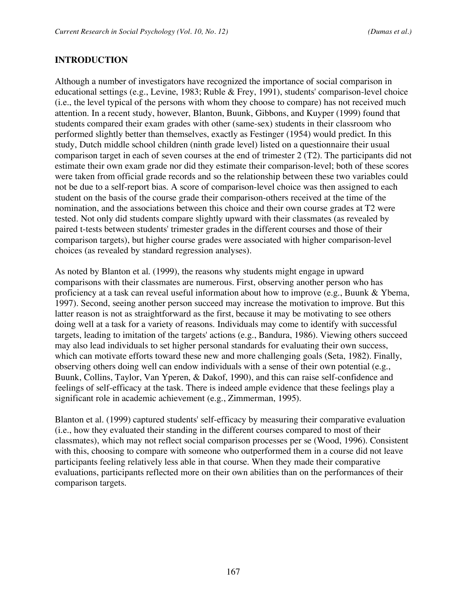### **INTRODUCTION**

Although a number of investigators have recognized the importance of social comparison in educational settings (e.g., Levine, 1983; Ruble & Frey, 1991), students' comparison-level choice (i.e., the level typical of the persons with whom they choose to compare) has not received much attention. In a recent study, however, Blanton, Buunk, Gibbons, and Kuyper (1999) found that students compared their exam grades with other (same-sex) students in their classroom who performed slightly better than themselves, exactly as Festinger (1954) would predict. In this study, Dutch middle school children (ninth grade level) listed on a questionnaire their usual comparison target in each of seven courses at the end of trimester 2 (T2). The participants did not estimate their own exam grade nor did they estimate their comparison-level; both of these scores were taken from official grade records and so the relationship between these two variables could not be due to a self-report bias. A score of comparison-level choice was then assigned to each student on the basis of the course grade their comparison-others received at the time of the nomination, and the associations between this choice and their own course grades at T2 were tested. Not only did students compare slightly upward with their classmates (as revealed by paired t-tests between students' trimester grades in the different courses and those of their comparison targets), but higher course grades were associated with higher comparison-level choices (as revealed by standard regression analyses).

As noted by Blanton et al. (1999), the reasons why students might engage in upward comparisons with their classmates are numerous. First, observing another person who has proficiency at a task can reveal useful information about how to improve (e.g., Buunk & Ybema, 1997). Second, seeing another person succeed may increase the motivation to improve. But this latter reason is not as straightforward as the first, because it may be motivating to see others doing well at a task for a variety of reasons. Individuals may come to identify with successful targets, leading to imitation of the targets' actions (e.g., Bandura, 1986). Viewing others succeed may also lead individuals to set higher personal standards for evaluating their own success, which can motivate efforts toward these new and more challenging goals (Seta, 1982). Finally, observing others doing well can endow individuals with a sense of their own potential (e.g., Buunk, Collins, Taylor, Van Yperen, & Dakof, 1990), and this can raise self-confidence and feelings of self-efficacy at the task. There is indeed ample evidence that these feelings play a significant role in academic achievement (e.g., Zimmerman, 1995).

Blanton et al. (1999) captured students' self-efficacy by measuring their comparative evaluation (i.e., how they evaluated their standing in the different courses compared to most of their classmates), which may not reflect social comparison processes per se (Wood, 1996). Consistent with this, choosing to compare with someone who outperformed them in a course did not leave participants feeling relatively less able in that course. When they made their comparative evaluations, participants reflected more on their own abilities than on the performances of their comparison targets.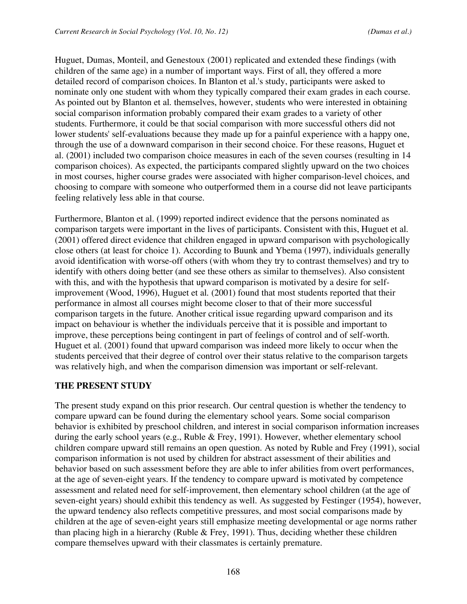Huguet, Dumas, Monteil, and Genestoux (2001) replicated and extended these findings (with children of the same age) in a number of important ways. First of all, they offered a more detailed record of comparison choices. In Blanton et al.'s study, participants were asked to nominate only one student with whom they typically compared their exam grades in each course. As pointed out by Blanton et al. themselves, however, students who were interested in obtaining social comparison information probably compared their exam grades to a variety of other students. Furthermore, it could be that social comparison with more successful others did not lower students' self-evaluations because they made up for a painful experience with a happy one, through the use of a downward comparison in their second choice. For these reasons, Huguet et al. (2001) included two comparison choice measures in each of the seven courses (resulting in 14 comparison choices). As expected, the participants compared slightly upward on the two choices in most courses, higher course grades were associated with higher comparison-level choices, and choosing to compare with someone who outperformed them in a course did not leave participants feeling relatively less able in that course.

Furthermore, Blanton et al. (1999) reported indirect evidence that the persons nominated as comparison targets were important in the lives of participants. Consistent with this, Huguet et al. (2001) offered direct evidence that children engaged in upward comparison with psychologically close others (at least for choice 1). According to Buunk and Ybema (1997), individuals generally avoid identification with worse-off others (with whom they try to contrast themselves) and try to identify with others doing better (and see these others as similar to themselves). Also consistent with this, and with the hypothesis that upward comparison is motivated by a desire for selfimprovement (Wood, 1996), Huguet et al. (2001) found that most students reported that their performance in almost all courses might become closer to that of their more successful comparison targets in the future. Another critical issue regarding upward comparison and its impact on behaviour is whether the individuals perceive that it is possible and important to improve, these perceptions being contingent in part of feelings of control and of self-worth. Huguet et al. (2001) found that upward comparison was indeed more likely to occur when the students perceived that their degree of control over their status relative to the comparison targets was relatively high, and when the comparison dimension was important or self-relevant.

# **THE PRESENT STUDY**

The present study expand on this prior research. Our central question is whether the tendency to compare upward can be found during the elementary school years. Some social comparison behavior is exhibited by preschool children, and interest in social comparison information increases during the early school years (e.g., Ruble & Frey, 1991). However, whether elementary school children compare upward still remains an open question. As noted by Ruble and Frey (1991), social comparison information is not used by children for abstract assessment of their abilities and behavior based on such assessment before they are able to infer abilities from overt performances, at the age of seven-eight years. If the tendency to compare upward is motivated by competence assessment and related need for self-improvement, then elementary school children (at the age of seven-eight years) should exhibit this tendency as well. As suggested by Festinger (1954), however, the upward tendency also reflects competitive pressures, and most social comparisons made by children at the age of seven-eight years still emphasize meeting developmental or age norms rather than placing high in a hierarchy (Ruble & Frey, 1991). Thus, deciding whether these children compare themselves upward with their classmates is certainly premature.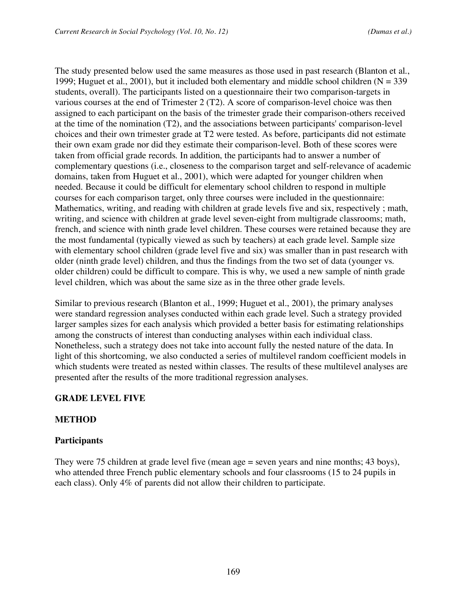The study presented below used the same measures as those used in past research (Blanton et al., 1999; Huguet et al., 2001), but it included both elementary and middle school children ( $N = 339$ ) students, overall). The participants listed on a questionnaire their two comparison-targets in various courses at the end of Trimester 2 (T2). A score of comparison-level choice was then assigned to each participant on the basis of the trimester grade their comparison-others received at the time of the nomination (T2), and the associations between participants' comparison-level choices and their own trimester grade at T2 were tested. As before, participants did not estimate their own exam grade nor did they estimate their comparison-level. Both of these scores were taken from official grade records. In addition, the participants had to answer a number of complementary questions (i.e., closeness to the comparison target and self-relevance of academic domains, taken from Huguet et al., 2001), which were adapted for younger children when needed. Because it could be difficult for elementary school children to respond in multiple courses for each comparison target, only three courses were included in the questionnaire: Mathematics, writing, and reading with children at grade levels five and six, respectively ; math, writing, and science with children at grade level seven-eight from multigrade classrooms; math, french, and science with ninth grade level children. These courses were retained because they are the most fundamental (typically viewed as such by teachers) at each grade level. Sample size with elementary school children (grade level five and six) was smaller than in past research with older (ninth grade level) children, and thus the findings from the two set of data (younger vs. older children) could be difficult to compare. This is why, we used a new sample of ninth grade level children, which was about the same size as in the three other grade levels.

Similar to previous research (Blanton et al., 1999; Huguet et al., 2001), the primary analyses were standard regression analyses conducted within each grade level. Such a strategy provided larger samples sizes for each analysis which provided a better basis for estimating relationships among the constructs of interest than conducting analyses within each individual class. Nonetheless, such a strategy does not take into account fully the nested nature of the data. In light of this shortcoming, we also conducted a series of multilevel random coefficient models in which students were treated as nested within classes. The results of these multilevel analyses are presented after the results of the more traditional regression analyses.

# **GRADE LEVEL FIVE**

# **METHOD**

# **Participants**

They were 75 children at grade level five (mean age = seven years and nine months; 43 boys), who attended three French public elementary schools and four classrooms (15 to 24 pupils in each class). Only 4% of parents did not allow their children to participate.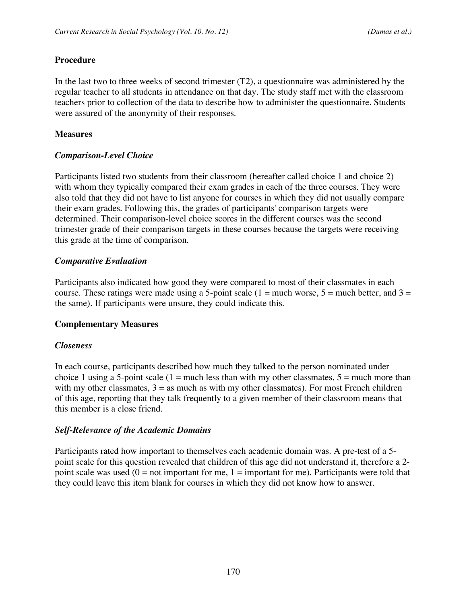### **Procedure**

In the last two to three weeks of second trimester (T2), a questionnaire was administered by the regular teacher to all students in attendance on that day. The study staff met with the classroom teachers prior to collection of the data to describe how to administer the questionnaire. Students were assured of the anonymity of their responses.

### **Measures**

### *Comparison-Level Choice*

Participants listed two students from their classroom (hereafter called choice 1 and choice 2) with whom they typically compared their exam grades in each of the three courses. They were also told that they did not have to list anyone for courses in which they did not usually compare their exam grades. Following this, the grades of participants' comparison targets were determined. Their comparison-level choice scores in the different courses was the second trimester grade of their comparison targets in these courses because the targets were receiving this grade at the time of comparison.

### *Comparative Evaluation*

Participants also indicated how good they were compared to most of their classmates in each course. These ratings were made using a 5-point scale (1 = much worse, 5 = much better, and 3 = the same). If participants were unsure, they could indicate this.

### **Complementary Measures**

### *Closeness*

In each course, participants described how much they talked to the person nominated under choice 1 using a 5-point scale  $(1 = \text{much less than with my other classmates}, 5 = \text{much more than})$ with my other classmates,  $3 =$  as much as with my other classmates). For most French children of this age, reporting that they talk frequently to a given member of their classroom means that this member is a close friend.

### *Self-Relevance of the Academic Domains*

Participants rated how important to themselves each academic domain was. A pre-test of a 5 point scale for this question revealed that children of this age did not understand it, therefore a 2 point scale was used  $(0 = not important for me, 1 = important for me)$ . Participants were told that they could leave this item blank for courses in which they did not know how to answer.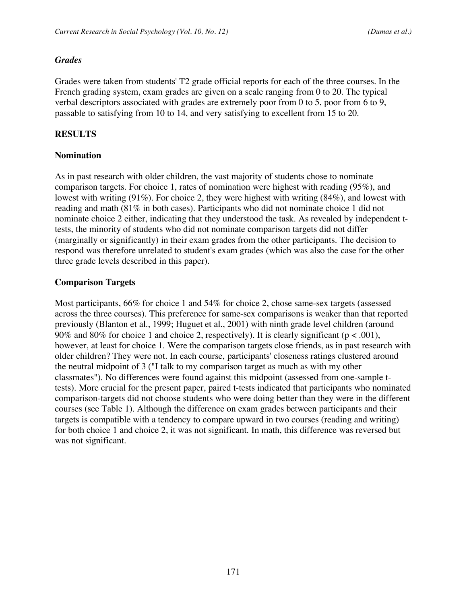#### *Grades*

Grades were taken from students' T2 grade official reports for each of the three courses. In the French grading system, exam grades are given on a scale ranging from 0 to 20. The typical verbal descriptors associated with grades are extremely poor from 0 to 5, poor from 6 to 9, passable to satisfying from 10 to 14, and very satisfying to excellent from 15 to 20.

### **RESULTS**

### **Nomination**

As in past research with older children, the vast majority of students chose to nominate comparison targets. For choice 1, rates of nomination were highest with reading (95%), and lowest with writing (91%). For choice 2, they were highest with writing (84%), and lowest with reading and math (81% in both cases). Participants who did not nominate choice 1 did not nominate choice 2 either, indicating that they understood the task. As revealed by independent ttests, the minority of students who did not nominate comparison targets did not differ (marginally or significantly) in their exam grades from the other participants. The decision to respond was therefore unrelated to student's exam grades (which was also the case for the other three grade levels described in this paper).

### **Comparison Targets**

Most participants, 66% for choice 1 and 54% for choice 2, chose same-sex targets (assessed across the three courses). This preference for same-sex comparisons is weaker than that reported previously (Blanton et al., 1999; Huguet et al., 2001) with ninth grade level children (around 90% and 80% for choice 1 and choice 2, respectively). It is clearly significant ( $p < .001$ ), however, at least for choice 1. Were the comparison targets close friends, as in past research with older children? They were not. In each course, participants' closeness ratings clustered around the neutral midpoint of 3 ("I talk to my comparison target as much as with my other classmates"). No differences were found against this midpoint (assessed from one-sample ttests). More crucial for the present paper, paired t-tests indicated that participants who nominated comparison-targets did not choose students who were doing better than they were in the different courses (see Table 1). Although the difference on exam grades between participants and their targets is compatible with a tendency to compare upward in two courses (reading and writing) for both choice 1 and choice 2, it was not significant. In math, this difference was reversed but was not significant.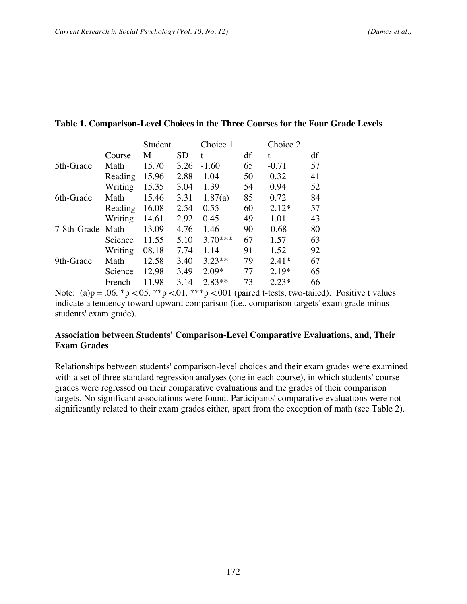|                  |       |           |           |    | $\cup$ iviv $\cup$ and |    |
|------------------|-------|-----------|-----------|----|------------------------|----|
| Course           | M     | <b>SD</b> | t         | df | t.                     | df |
| Math             | 15.70 | 3.26      | $-1.60$   | 65 | $-0.71$                | 57 |
| Reading          | 15.96 | 2.88      | 1.04      | 50 | 0.32                   | 41 |
| Writing          | 15.35 | 3.04      | 1.39      | 54 | 0.94                   | 52 |
| Math             | 15.46 | 3.31      | 1.87(a)   | 85 | 0.72                   | 84 |
| Reading          | 16.08 | 2.54      | 0.55      | 60 | $2.12*$                | 57 |
| Writing          | 14.61 | 2.92      | 0.45      | 49 | 1.01                   | 43 |
| 7-8th-Grade Math | 13.09 | 4.76      | 1.46      | 90 | $-0.68$                | 80 |
| Science          | 11.55 | 5.10      | $3.70***$ | 67 | 1.57                   | 63 |
| Writing          | 08.18 | 7.74      | 1.14      | 91 | 1.52                   | 92 |
| Math             | 12.58 | 3.40      | $3.23**$  | 79 | $2.41*$                | 67 |
| Science          | 12.98 | 3.49      | $2.09*$   | 77 | $2.19*$                | 65 |
| French           | 11.98 | 3.14      | $2.83**$  | 73 | $2.23*$                | 66 |
|                  |       |           |           |    |                        |    |

#### **Table 1. Comparison-Level Choices in the Three Courses for the Four Grade Levels**

Student Choice 1 Choice 2

Note: (a) $p = .06$ . \*p <.05. \*\*p <.01. \*\*\*p <.001 (paired t-tests, two-tailed). Positive t values indicate a tendency toward upward comparison (i.e., comparison targets' exam grade minus students' exam grade).

### **Association between Students' Comparison-Level Comparative Evaluations, and, Their Exam Grades**

Relationships between students' comparison-level choices and their exam grades were examined with a set of three standard regression analyses (one in each course), in which students' course grades were regressed on their comparative evaluations and the grades of their comparison targets. No significant associations were found. Participants' comparative evaluations were not significantly related to their exam grades either, apart from the exception of math (see Table 2).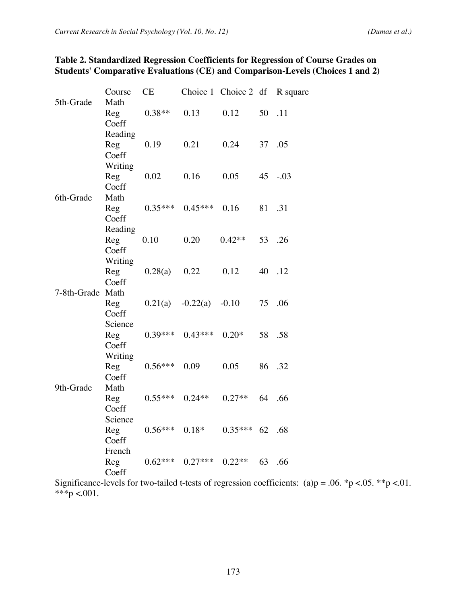| 5th-Grade        | Math         |           |            |           |        |             |
|------------------|--------------|-----------|------------|-----------|--------|-------------|
|                  | Reg          | $0.38**$  | 0.13       | 0.12      | 50 .11 |             |
|                  | Coeff        |           |            |           |        |             |
|                  | Reading      |           |            |           |        |             |
|                  | Reg          | 0.19      | 0.21       | 0.24      | 37     | .05         |
|                  | Coeff        |           |            |           |        |             |
|                  | Writing      |           |            |           |        |             |
|                  | Reg          | 0.02      | 0.16       | 0.05      |        | $45 - 0.03$ |
|                  | Coeff        |           |            |           |        |             |
| 6th-Grade        | Math         |           |            |           |        |             |
|                  | Reg<br>Coeff | $0.35***$ | $0.45***$  | 0.16      | 81     | .31         |
|                  | Reading      |           |            |           |        |             |
|                  | Reg          | 0.10      | 0.20       | $0.42**$  | 53     | .26         |
|                  | Coeff        |           |            |           |        |             |
|                  | Writing      |           |            |           |        |             |
|                  | Reg          | 0.28(a)   | 0.22       | 0.12      | 40     | .12         |
|                  | Coeff        |           |            |           |        |             |
| 7-8th-Grade Math |              |           |            |           |        |             |
|                  | Reg          | 0.21(a)   | $-0.22(a)$ | $-0.10$   | 75     | .06         |
|                  | Coeff        |           |            |           |        |             |
|                  | Science      |           |            |           |        |             |
|                  | Reg          | $0.39***$ | $0.43***$  | $0.20*$   | 58     | .58         |
|                  | Coeff        |           |            |           |        |             |
|                  | Writing      |           |            |           |        |             |
|                  | Reg          | $0.56***$ | 0.09       | 0.05      |        | 86 .32      |
|                  | Coeff        |           |            |           |        |             |
| 9th-Grade        | Math         |           |            |           |        |             |
|                  | Reg          | $0.55***$ | $0.24**$   | $0.27**$  |        | 64 .66      |
|                  | Coeff        |           |            |           |        |             |
|                  | Science      |           |            |           |        |             |
|                  | Reg          | $0.56***$ | $0.18*$    | $0.35***$ | 62     | .68         |
|                  | Coeff        |           |            |           |        |             |
|                  | French       |           |            |           |        |             |
|                  | Reg          | $0.62***$ | $0.27***$  | $0.22**$  | 63     | .66         |
|                  | Coeff        |           |            |           |        |             |

# **Table 2. Standardized Regression Coefficients for Regression of Course Grades on Students' Comparative Evaluations (CE) and Comparison-Levels (Choices 1 and 2)**

Course CE Choice 1 Choice 2 df R square

Significance-levels for two-tailed t-tests of regression coefficients: (a)p = .06. \*p <.05. \*\*p <.01. \*\*\*p <.001.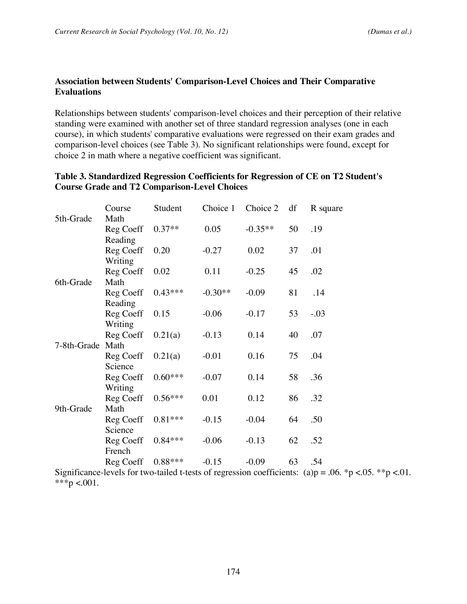# **Association between Students' Comparison-Level Choices and Their Comparative Evaluations**

Relationships between students' comparison-level choices and their perception of their relative standing were examined with another set of three standard regression analyses (one in each course), in which students' comparative evaluations were regressed on their exam grades and comparison-level choices (see Table 3). No significant relationships were found, except for choice 2 in math where a negative coefficient was significant.

|             | Course               | Student   | Choice 1  | Choice 2  | df | R square |
|-------------|----------------------|-----------|-----------|-----------|----|----------|
| 5th-Grade   | Math                 |           |           |           |    |          |
|             | Reg Coeff            | $0.37**$  | 0.05      | $-0.35**$ | 50 | .19      |
|             | Reading              |           |           |           |    |          |
|             | Reg Coeff            | 0.20      | $-0.27$   | 0.02      | 37 | .01      |
|             | Writing              |           |           |           |    |          |
|             | Reg Coeff            | 0.02      | 0.11      | $-0.25$   | 45 | .02      |
| 6th-Grade   | Math                 |           |           |           |    |          |
|             | Reg Coeff            | $0.43***$ | $-0.30**$ | $-0.09$   | 81 | .14      |
|             | Reading              |           |           |           |    |          |
|             | Reg Coeff            | 0.15      | $-0.06$   | $-0.17$   | 53 | $-.03$   |
|             | Writing              |           |           |           |    |          |
|             | Reg Coeff            | 0.21(a)   | $-0.13$   | 0.14      | 40 | .07      |
| 7-8th-Grade | Math                 |           |           |           |    |          |
|             | Reg Coeff            | 0.21(a)   | $-0.01$   | 0.16      | 75 | .04      |
|             | Science              |           |           |           |    |          |
|             | Reg Coeff            | $0.60***$ | $-0.07$   | 0.14      | 58 | .36      |
|             | Writing              |           |           |           |    |          |
|             | Reg Coeff            | $0.56***$ | 0.01      | 0.12      | 86 | .32      |
| 9th-Grade   | Math                 |           |           |           |    |          |
|             | Reg Coeff<br>Science | $0.81***$ | $-0.15$   | $-0.04$   | 64 | .50      |
|             |                      | $0.84***$ | $-0.06$   | $-0.13$   | 62 | .52      |
|             | Reg Coeff<br>French  |           |           |           |    |          |
|             | Reg Coeff            | $0.88***$ | $-0.15$   | $-0.09$   | 63 | .54      |
|             |                      |           |           |           |    |          |

# **Table 3. Standardized Regression Coefficients for Regression of CE on T2 Student's Course Grade and T2 Comparison-Level Choices**

Significance-levels for two-tailed t-tests of regression coefficients: (a)p = .06. \*p <.05. \*\*p <.01. \*\*\*p <.001.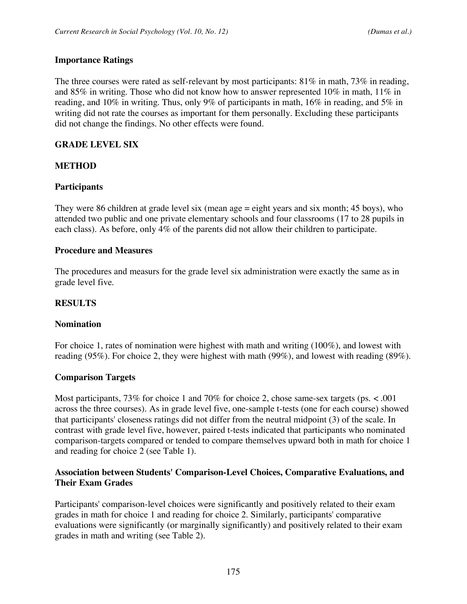### **Importance Ratings**

The three courses were rated as self-relevant by most participants:  $81\%$  in math,  $73\%$  in reading, and 85% in writing. Those who did not know how to answer represented 10% in math, 11% in reading, and 10% in writing. Thus, only 9% of participants in math, 16% in reading, and 5% in writing did not rate the courses as important for them personally. Excluding these participants did not change the findings. No other effects were found.

### **GRADE LEVEL SIX**

### **METHOD**

### **Participants**

They were 86 children at grade level six (mean age = eight years and six month; 45 boys), who attended two public and one private elementary schools and four classrooms (17 to 28 pupils in each class). As before, only 4% of the parents did not allow their children to participate.

#### **Procedure and Measures**

The procedures and measurs for the grade level six administration were exactly the same as in grade level five.

### **RESULTS**

#### **Nomination**

For choice 1, rates of nomination were highest with math and writing (100%), and lowest with reading (95%). For choice 2, they were highest with math (99%), and lowest with reading (89%).

### **Comparison Targets**

Most participants, 73% for choice 1 and 70% for choice 2, chose same-sex targets (ps. < .001 across the three courses). As in grade level five, one-sample t-tests (one for each course) showed that participants' closeness ratings did not differ from the neutral midpoint (3) of the scale. In contrast with grade level five, however, paired t-tests indicated that participants who nominated comparison-targets compared or tended to compare themselves upward both in math for choice 1 and reading for choice 2 (see Table 1).

### **Association between Students' Comparison-Level Choices, Comparative Evaluations, and Their Exam Grades**

Participants' comparison-level choices were significantly and positively related to their exam grades in math for choice 1 and reading for choice 2. Similarly, participants' comparative evaluations were significantly (or marginally significantly) and positively related to their exam grades in math and writing (see Table 2).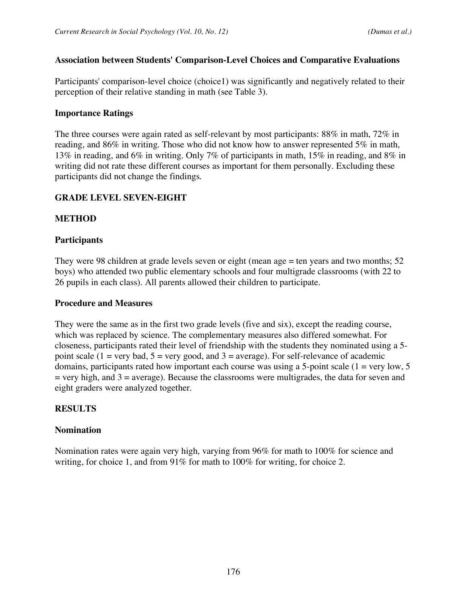### **Association between Students' Comparison-Level Choices and Comparative Evaluations**

Participants' comparison-level choice (choice1) was significantly and negatively related to their perception of their relative standing in math (see Table 3).

# **Importance Ratings**

The three courses were again rated as self-relevant by most participants: 88% in math, 72% in reading, and 86% in writing. Those who did not know how to answer represented 5% in math, 13% in reading, and 6% in writing. Only 7% of participants in math, 15% in reading, and 8% in writing did not rate these different courses as important for them personally. Excluding these participants did not change the findings.

# **GRADE LEVEL SEVEN-EIGHT**

# **METHOD**

# **Participants**

They were 98 children at grade levels seven or eight (mean age = ten years and two months; 52 boys) who attended two public elementary schools and four multigrade classrooms (with 22 to 26 pupils in each class). All parents allowed their children to participate.

# **Procedure and Measures**

They were the same as in the first two grade levels (five and six), except the reading course, which was replaced by science. The complementary measures also differed somewhat. For closeness, participants rated their level of friendship with the students they nominated using a 5 point scale (1 = very bad, 5 = very good, and 3 = average). For self-relevance of academic domains, participants rated how important each course was using a 5-point scale  $(1 = \text{very low}, 5)$  $=$  very high, and  $3 =$  average). Because the classrooms were multigrades, the data for seven and eight graders were analyzed together.

# **RESULTS**

# **Nomination**

Nomination rates were again very high, varying from 96% for math to 100% for science and writing, for choice 1, and from 91% for math to 100% for writing, for choice 2.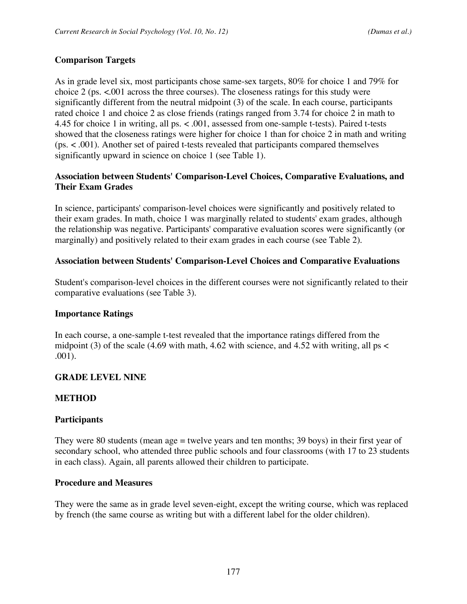# **Comparison Targets**

As in grade level six, most participants chose same-sex targets, 80% for choice 1 and 79% for choice 2 (ps.  $\lt 0.001$  across the three courses). The closeness ratings for this study were significantly different from the neutral midpoint (3) of the scale. In each course, participants rated choice 1 and choice 2 as close friends (ratings ranged from 3.74 for choice 2 in math to 4.45 for choice 1 in writing, all ps. < .001, assessed from one-sample t-tests). Paired t-tests showed that the closeness ratings were higher for choice 1 than for choice 2 in math and writing (ps. < .001). Another set of paired t-tests revealed that participants compared themselves significantly upward in science on choice 1 (see Table 1).

# **Association between Students' Comparison-Level Choices, Comparative Evaluations, and Their Exam Grades**

In science, participants' comparison-level choices were significantly and positively related to their exam grades. In math, choice 1 was marginally related to students' exam grades, although the relationship was negative. Participants' comparative evaluation scores were significantly (or marginally) and positively related to their exam grades in each course (see Table 2).

# **Association between Students' Comparison-Level Choices and Comparative Evaluations**

Student's comparison-level choices in the different courses were not significantly related to their comparative evaluations (see Table 3).

# **Importance Ratings**

In each course, a one-sample t-test revealed that the importance ratings differed from the midpoint (3) of the scale (4.69 with math, 4.62 with science, and 4.52 with writing, all ps  $\lt$ .001).

# **GRADE LEVEL NINE**

# **METHOD**

# **Participants**

They were 80 students (mean age = twelve years and ten months; 39 boys) in their first year of secondary school, who attended three public schools and four classrooms (with 17 to 23 students in each class). Again, all parents allowed their children to participate.

# **Procedure and Measures**

They were the same as in grade level seven-eight, except the writing course, which was replaced by french (the same course as writing but with a different label for the older children).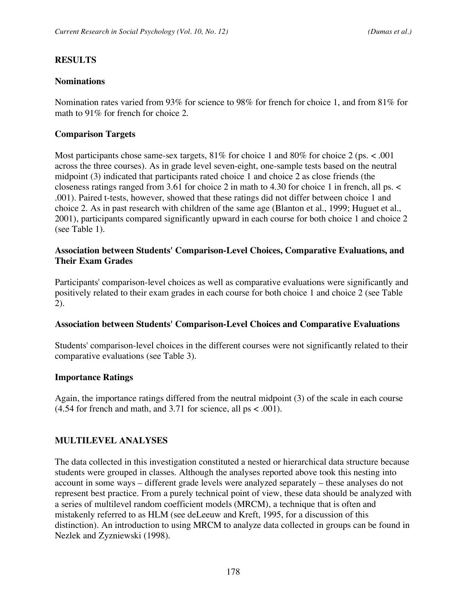### **RESULTS**

### **Nominations**

Nomination rates varied from 93% for science to 98% for french for choice 1, and from 81% for math to 91% for french for choice 2.

### **Comparison Targets**

Most participants chose same-sex targets,  $81\%$  for choice 1 and  $80\%$  for choice 2 (ps. < .001 across the three courses). As in grade level seven-eight, one-sample tests based on the neutral midpoint (3) indicated that participants rated choice 1 and choice 2 as close friends (the closeness ratings ranged from 3.61 for choice 2 in math to 4.30 for choice 1 in french, all ps. < .001). Paired t-tests, however, showed that these ratings did not differ between choice 1 and choice 2. As in past research with children of the same age (Blanton et al., 1999; Huguet et al., 2001), participants compared significantly upward in each course for both choice 1 and choice 2 (see Table 1).

### **Association between Students' Comparison-Level Choices, Comparative Evaluations, and Their Exam Grades**

Participants' comparison-level choices as well as comparative evaluations were significantly and positively related to their exam grades in each course for both choice 1 and choice 2 (see Table 2).

### **Association between Students' Comparison-Level Choices and Comparative Evaluations**

Students' comparison-level choices in the different courses were not significantly related to their comparative evaluations (see Table 3).

# **Importance Ratings**

Again, the importance ratings differed from the neutral midpoint (3) of the scale in each course  $(4.54$  for french and math, and 3.71 for science, all ps < .001).

# **MULTILEVEL ANALYSES**

The data collected in this investigation constituted a nested or hierarchical data structure because students were grouped in classes. Although the analyses reported above took this nesting into account in some ways – different grade levels were analyzed separately – these analyses do not represent best practice. From a purely technical point of view, these data should be analyzed with a series of multilevel random coefficient models (MRCM), a technique that is often and mistakenly referred to as HLM (see deLeeuw and Kreft, 1995, for a discussion of this distinction). An introduction to using MRCM to analyze data collected in groups can be found in Nezlek and Zyzniewski (1998).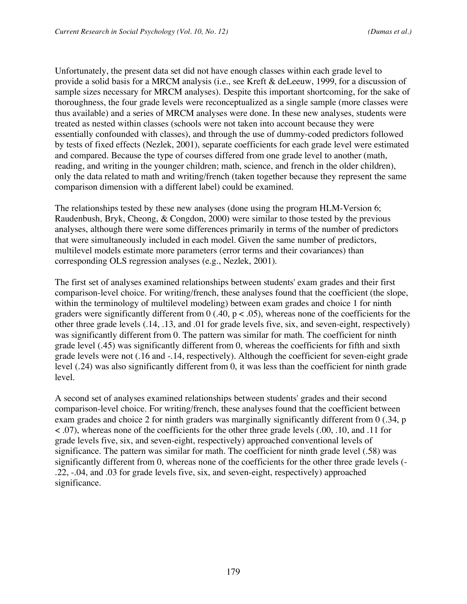Unfortunately, the present data set did not have enough classes within each grade level to provide a solid basis for a MRCM analysis (i.e., see Kreft & deLeeuw, 1999, for a discussion of sample sizes necessary for MRCM analyses). Despite this important shortcoming, for the sake of thoroughness, the four grade levels were reconceptualized as a single sample (more classes were thus available) and a series of MRCM analyses were done. In these new analyses, students were treated as nested within classes (schools were not taken into account because they were essentially confounded with classes), and through the use of dummy-coded predictors followed by tests of fixed effects (Nezlek, 2001), separate coefficients for each grade level were estimated and compared. Because the type of courses differed from one grade level to another (math, reading, and writing in the younger children; math, science, and french in the older children), only the data related to math and writing/french (taken together because they represent the same comparison dimension with a different label) could be examined.

The relationships tested by these new analyses (done using the program HLM-Version 6; Raudenbush, Bryk, Cheong, & Congdon, 2000) were similar to those tested by the previous analyses, although there were some differences primarily in terms of the number of predictors that were simultaneously included in each model. Given the same number of predictors, multilevel models estimate more parameters (error terms and their covariances) than corresponding OLS regression analyses (e.g., Nezlek, 2001).

The first set of analyses examined relationships between students' exam grades and their first comparison-level choice. For writing/french, these analyses found that the coefficient (the slope, within the terminology of multilevel modeling) between exam grades and choice 1 for ninth graders were significantly different from  $0$  (.40,  $p < .05$ ), whereas none of the coefficients for the other three grade levels (.14, .13, and .01 for grade levels five, six, and seven-eight, respectively) was significantly different from 0. The pattern was similar for math. The coefficient for ninth grade level (.45) was significantly different from 0, whereas the coefficients for fifth and sixth grade levels were not (.16 and -.14, respectively). Although the coefficient for seven-eight grade level (.24) was also significantly different from 0, it was less than the coefficient for ninth grade level.

A second set of analyses examined relationships between students' grades and their second comparison-level choice. For writing/french, these analyses found that the coefficient between exam grades and choice 2 for ninth graders was marginally significantly different from 0 (.34, p < .07), whereas none of the coefficients for the other three grade levels (.00, .10, and .11 for grade levels five, six, and seven-eight, respectively) approached conventional levels of significance. The pattern was similar for math. The coefficient for ninth grade level (.58) was significantly different from 0, whereas none of the coefficients for the other three grade levels (- .22, -.04, and .03 for grade levels five, six, and seven-eight, respectively) approached significance.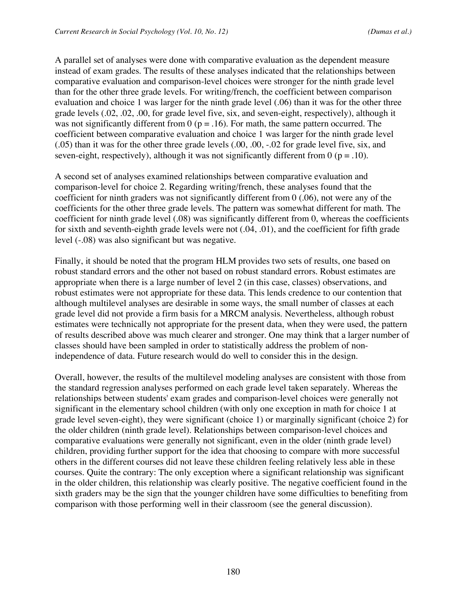A parallel set of analyses were done with comparative evaluation as the dependent measure instead of exam grades. The results of these analyses indicated that the relationships between comparative evaluation and comparison-level choices were stronger for the ninth grade level than for the other three grade levels. For writing/french, the coefficient between comparison evaluation and choice 1 was larger for the ninth grade level (.06) than it was for the other three grade levels (.02, .02, .00, for grade level five, six, and seven-eight, respectively), although it was not significantly different from  $0$  ( $p = .16$ ). For math, the same pattern occurred. The coefficient between comparative evaluation and choice 1 was larger for the ninth grade level (.05) than it was for the other three grade levels (.00, .00, -.02 for grade level five, six, and seven-eight, respectively), although it was not significantly different from  $0$  ( $p = .10$ ).

A second set of analyses examined relationships between comparative evaluation and comparison-level for choice 2. Regarding writing/french, these analyses found that the coefficient for ninth graders was not significantly different from 0 (.06), not were any of the coefficients for the other three grade levels. The pattern was somewhat different for math. The coefficient for ninth grade level (.08) was significantly different from 0, whereas the coefficients for sixth and seventh-eighth grade levels were not (.04, .01), and the coefficient for fifth grade level (-.08) was also significant but was negative.

Finally, it should be noted that the program HLM provides two sets of results, one based on robust standard errors and the other not based on robust standard errors. Robust estimates are appropriate when there is a large number of level 2 (in this case, classes) observations, and robust estimates were not appropriate for these data. This lends credence to our contention that although multilevel analyses are desirable in some ways, the small number of classes at each grade level did not provide a firm basis for a MRCM analysis. Nevertheless, although robust estimates were technically not appropriate for the present data, when they were used, the pattern of results described above was much clearer and stronger. One may think that a larger number of classes should have been sampled in order to statistically address the problem of nonindependence of data. Future research would do well to consider this in the design.

Overall, however, the results of the multilevel modeling analyses are consistent with those from the standard regression analyses performed on each grade level taken separately. Whereas the relationships between students' exam grades and comparison-level choices were generally not significant in the elementary school children (with only one exception in math for choice 1 at grade level seven-eight), they were significant (choice 1) or marginally significant (choice 2) for the older children (ninth grade level). Relationships between comparison-level choices and comparative evaluations were generally not significant, even in the older (ninth grade level) children, providing further support for the idea that choosing to compare with more successful others in the different courses did not leave these children feeling relatively less able in these courses. Quite the contrary: The only exception where a significant relationship was significant in the older children, this relationship was clearly positive. The negative coefficient found in the sixth graders may be the sign that the younger children have some difficulties to benefiting from comparison with those performing well in their classroom (see the general discussion).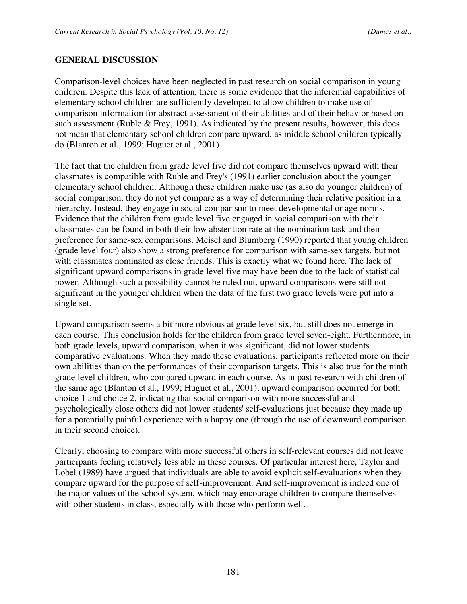### **GENERAL DISCUSSION**

Comparison-level choices have been neglected in past research on social comparison in young children. Despite this lack of attention, there is some evidence that the inferential capabilities of elementary school children are sufficiently developed to allow children to make use of comparison information for abstract assessment of their abilities and of their behavior based on such assessment (Ruble & Frey, 1991). As indicated by the present results, however, this does not mean that elementary school children compare upward, as middle school children typically do (Blanton et al., 1999; Huguet et al., 2001).

The fact that the children from grade level five did not compare themselves upward with their classmates is compatible with Ruble and Frey's (1991) earlier conclusion about the younger elementary school children: Although these children make use (as also do younger children) of social comparison, they do not yet compare as a way of determining their relative position in a hierarchy. Instead, they engage in social comparison to meet developmental or age norms. Evidence that the children from grade level five engaged in social comparison with their classmates can be found in both their low abstention rate at the nomination task and their preference for same-sex comparisons. Meisel and Blumberg (1990) reported that young children (grade level four) also show a strong preference for comparison with same-sex targets, but not with classmates nominated as close friends. This is exactly what we found here. The lack of significant upward comparisons in grade level five may have been due to the lack of statistical power. Although such a possibility cannot be ruled out, upward comparisons were still not significant in the younger children when the data of the first two grade levels were put into a single set.

Upward comparison seems a bit more obvious at grade level six, but still does not emerge in each course. This conclusion holds for the children from grade level seven-eight. Furthermore, in both grade levels, upward comparison, when it was significant, did not lower students' comparative evaluations. When they made these evaluations, participants reflected more on their own abilities than on the performances of their comparison targets. This is also true for the ninth grade level children, who compared upward in each course. As in past research with children of the same age (Blanton et al., 1999; Huguet et al., 2001), upward comparison occurred for both choice 1 and choice 2, indicating that social comparison with more successful and psychologically close others did not lower students' self-evaluations just because they made up for a potentially painful experience with a happy one (through the use of downward comparison in their second choice).

Clearly, choosing to compare with more successful others in self-relevant courses did not leave participants feeling relatively less able in these courses. Of particular interest here, Taylor and Lobel (1989) have argued that individuals are able to avoid explicit self-evaluations when they compare upward for the purpose of self-improvement. And self-improvement is indeed one of the major values of the school system, which may encourage children to compare themselves with other students in class, especially with those who perform well.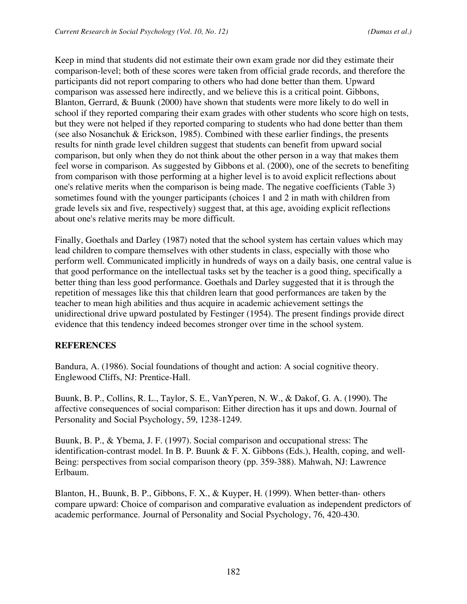Keep in mind that students did not estimate their own exam grade nor did they estimate their comparison-level; both of these scores were taken from official grade records, and therefore the participants did not report comparing to others who had done better than them. Upward comparison was assessed here indirectly, and we believe this is a critical point. Gibbons, Blanton, Gerrard, & Buunk (2000) have shown that students were more likely to do well in school if they reported comparing their exam grades with other students who score high on tests, but they were not helped if they reported comparing to students who had done better than them (see also Nosanchuk & Erickson, 1985). Combined with these earlier findings, the presents results for ninth grade level children suggest that students can benefit from upward social comparison, but only when they do not think about the other person in a way that makes them feel worse in comparison. As suggested by Gibbons et al. (2000), one of the secrets to benefiting from comparison with those performing at a higher level is to avoid explicit reflections about one's relative merits when the comparison is being made. The negative coefficients (Table 3) sometimes found with the younger participants (choices 1 and 2 in math with children from grade levels six and five, respectively) suggest that, at this age, avoiding explicit reflections about one's relative merits may be more difficult.

Finally, Goethals and Darley (1987) noted that the school system has certain values which may lead children to compare themselves with other students in class, especially with those who perform well. Communicated implicitly in hundreds of ways on a daily basis, one central value is that good performance on the intellectual tasks set by the teacher is a good thing, specifically a better thing than less good performance. Goethals and Darley suggested that it is through the repetition of messages like this that children learn that good performances are taken by the teacher to mean high abilities and thus acquire in academic achievement settings the unidirectional drive upward postulated by Festinger (1954). The present findings provide direct evidence that this tendency indeed becomes stronger over time in the school system.

# **REFERENCES**

Bandura, A. (1986). Social foundations of thought and action: A social cognitive theory. Englewood Cliffs, NJ: Prentice-Hall.

Buunk, B. P., Collins, R. L., Taylor, S. E., VanYperen, N. W., & Dakof, G. A. (1990). The affective consequences of social comparison: Either direction has it ups and down. Journal of Personality and Social Psychology, 59, 1238-1249.

Buunk, B. P., & Ybema, J. F. (1997). Social comparison and occupational stress: The identification-contrast model. In B. P. Buunk & F. X. Gibbons (Eds.), Health, coping, and well-Being: perspectives from social comparison theory (pp. 359-388). Mahwah, NJ: Lawrence Erlbaum.

Blanton, H., Buunk, B. P., Gibbons, F. X., & Kuyper, H. (1999). When better-than- others compare upward: Choice of comparison and comparative evaluation as independent predictors of academic performance. Journal of Personality and Social Psychology, 76, 420-430.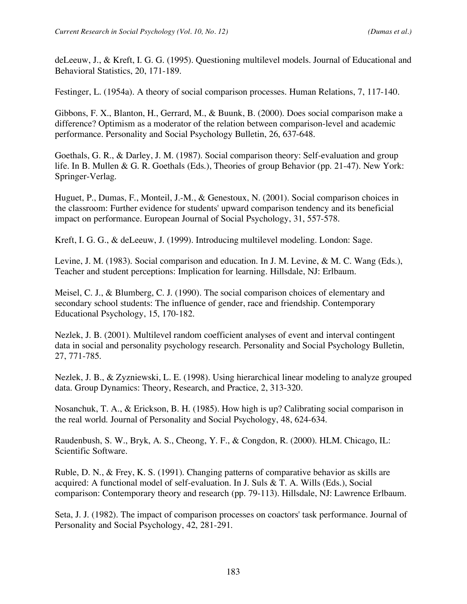deLeeuw, J., & Kreft, I. G. G. (1995). Questioning multilevel models. Journal of Educational and Behavioral Statistics, 20, 171-189.

Festinger, L. (1954a). A theory of social comparison processes. Human Relations, 7, 117-140.

Gibbons, F. X., Blanton, H., Gerrard, M., & Buunk, B. (2000). Does social comparison make a difference? Optimism as a moderator of the relation between comparison-level and academic performance. Personality and Social Psychology Bulletin, 26, 637-648.

Goethals, G. R., & Darley, J. M. (1987). Social comparison theory: Self-evaluation and group life. In B. Mullen & G. R. Goethals (Eds.), Theories of group Behavior (pp. 21-47). New York: Springer-Verlag.

Huguet, P., Dumas, F., Monteil, J.-M., & Genestoux, N. (2001). Social comparison choices in the classroom: Further evidence for students' upward comparison tendency and its beneficial impact on performance. European Journal of Social Psychology, 31, 557-578.

Kreft, I. G. G., & deLeeuw, J. (1999). Introducing multilevel modeling. London: Sage.

Levine, J. M. (1983). Social comparison and education. In J. M. Levine, & M. C. Wang (Eds.), Teacher and student perceptions: Implication for learning. Hillsdale, NJ: Erlbaum.

Meisel, C. J., & Blumberg, C. J. (1990). The social comparison choices of elementary and secondary school students: The influence of gender, race and friendship. Contemporary Educational Psychology, 15, 170-182.

Nezlek, J. B. (2001). Multilevel random coefficient analyses of event and interval contingent data in social and personality psychology research. Personality and Social Psychology Bulletin, 27, 771-785.

Nezlek, J. B., & Zyzniewski, L. E. (1998). Using hierarchical linear modeling to analyze grouped data. Group Dynamics: Theory, Research, and Practice, 2, 313-320.

Nosanchuk, T. A., & Erickson, B. H. (1985). How high is up? Calibrating social comparison in the real world. Journal of Personality and Social Psychology, 48, 624-634.

Raudenbush, S. W., Bryk, A. S., Cheong, Y. F., & Congdon, R. (2000). HLM. Chicago, IL: Scientific Software.

Ruble, D. N., & Frey, K. S. (1991). Changing patterns of comparative behavior as skills are acquired: A functional model of self-evaluation. In J. Suls & T. A. Wills (Eds.), Social comparison: Contemporary theory and research (pp. 79-113). Hillsdale, NJ: Lawrence Erlbaum.

Seta, J. J. (1982). The impact of comparison processes on coactors' task performance. Journal of Personality and Social Psychology, 42, 281-291.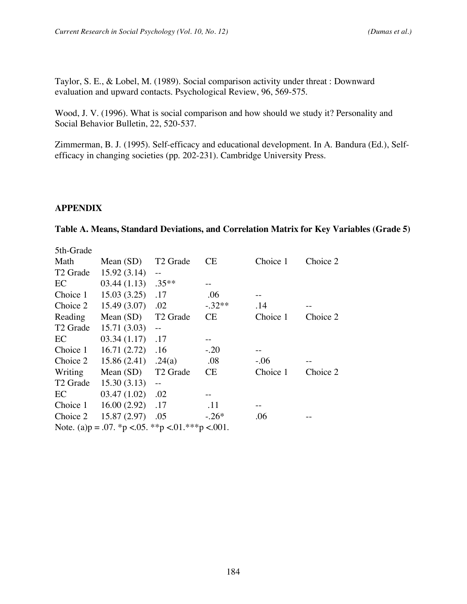Taylor, S. E., & Lobel, M. (1989). Social comparison activity under threat : Downward evaluation and upward contacts. Psychological Review, 96, 569-575.

Wood, J. V. (1996). What is social comparison and how should we study it? Personality and Social Behavior Bulletin, 22, 520-537.

Zimmerman, B. J. (1995). Self-efficacy and educational development. In A. Bandura (Ed.), Selfefficacy in changing societies (pp. 202-231). Cambridge University Press.

### **APPENDIX**

#### **Table A. Means, Standard Deviations, and Correlation Matrix for Key Variables (Grade 5)**

| 5th-Grade                                       |             |                                                     |          |          |          |  |  |
|-------------------------------------------------|-------------|-----------------------------------------------------|----------|----------|----------|--|--|
| Math                                            | Mean $(SD)$ | T <sub>2</sub> Grade                                | CE.      | Choice 1 | Choice 2 |  |  |
| T <sub>2</sub> Grade                            | 15.92(3.14) | $-$                                                 |          |          |          |  |  |
| EC                                              | 03.44(1.13) | $.35**$                                             |          |          |          |  |  |
| Choice 1                                        | 15.03(3.25) | .17                                                 | .06      |          |          |  |  |
| Choice 2                                        | 15.49(3.07) | $.02\,$                                             | $-.32**$ | .14      |          |  |  |
| Reading                                         | Mean $(SD)$ | T <sub>2</sub> Grade                                | CE       | Choice 1 | Choice 2 |  |  |
| T <sub>2</sub> Grade                            | 15.71(3.03) | $\hspace{0.05cm} -\hspace{0.05cm} -\hspace{0.05cm}$ |          |          |          |  |  |
| EC                                              | 03.34(1.17) | .17                                                 |          |          |          |  |  |
| Choice 1                                        | 16.71(2.72) | .16                                                 | $-.20$   |          |          |  |  |
| Choice 2                                        | 15.86(2.41) | .24(a)                                              | .08      | $-.06$   |          |  |  |
| Writing                                         | Mean $(SD)$ | T <sub>2</sub> Grade                                | CE       | Choice 1 | Choice 2 |  |  |
| T <sub>2</sub> Grade                            | 15.30(3.13) | $\perp$ $\perp$                                     |          |          |          |  |  |
| EC                                              | 03.47(1.02) | .02                                                 |          |          |          |  |  |
| Choice 1                                        | 16.00(2.92) | .17                                                 | .11      |          |          |  |  |
| Choice 2                                        | 15.87(2.97) | .05                                                 | $-.26*$  | .06      |          |  |  |
| Note. (a)p = .07. *p <.05. **p <.01.***p <.001. |             |                                                     |          |          |          |  |  |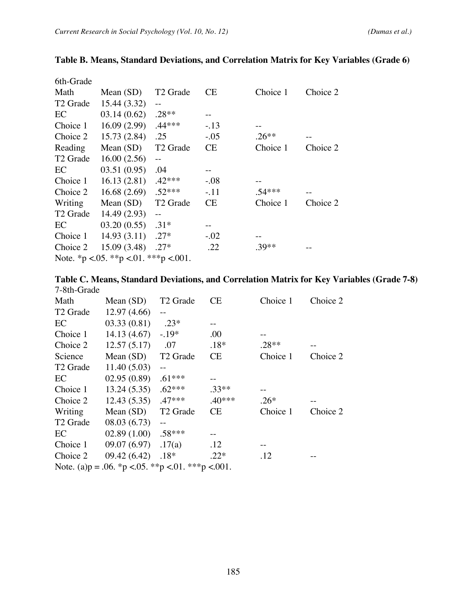| 6th-Grade                                 |             |                          |           |          |          |  |
|-------------------------------------------|-------------|--------------------------|-----------|----------|----------|--|
| Math                                      | Mean $(SD)$ | T <sub>2</sub> Grade     | CE.       | Choice 1 | Choice 2 |  |
| T <sub>2</sub> Grade                      | 15.44(3.32) | $-$                      |           |          |          |  |
| EC                                        | 03.14(0.62) | $.28**$                  | $-$       |          |          |  |
| Choice 1                                  | 16.09(2.99) | $.44***$                 | $-.13$    |          |          |  |
| Choice 2                                  | 15.73(2.84) | .25                      | $-.05$    | $.26**$  |          |  |
| Reading                                   | Mean $(SD)$ | T <sub>2</sub> Grade     | CE        | Choice 1 | Choice 2 |  |
| T <sub>2</sub> Grade                      | 16.00(2.56) | $\overline{\phantom{m}}$ |           |          |          |  |
| EC                                        | 03.51(0.95) | .04                      |           |          |          |  |
| Choice 1                                  | 16.13(2.81) | $.42***$                 | $-.08$    |          |          |  |
| Choice 2                                  | 16.68(2.69) | $.52***$                 | $-.11$    | $.54***$ |          |  |
| Writing                                   | Mean $(SD)$ | T <sub>2</sub> Grade     | <b>CE</b> | Choice 1 | Choice 2 |  |
| T <sub>2</sub> Grade                      | 14.49(2.93) | $-$                      |           |          |          |  |
| EC                                        | 03.20(0.55) | $.31*$                   |           |          |          |  |
| Choice 1                                  | 14.93(3.11) | $.27*$                   | $-.02$    |          |          |  |
| Choice 2                                  | 15.09(3.48) | $.27*$                   | .22       | $.39**$  |          |  |
| Note. *p < 0.05. **p < 0.01. ***p < 0.01. |             |                          |           |          |          |  |

# **Table B. Means, Standard Deviations, and Correlation Matrix for Key Variables (Grade 6)**

| Table C. Means, Standard Deviations, and Correlation Matrix for Key Variables (Grade 7-8) |  |  |  |
|-------------------------------------------------------------------------------------------|--|--|--|
| 7-8th-Grade                                                                               |  |  |  |

| Math                 | Mean $(SD)$                                         | T <sub>2</sub> Grade | СE        | Choice 1 | Choice 2 |
|----------------------|-----------------------------------------------------|----------------------|-----------|----------|----------|
| T <sub>2</sub> Grade | 12.97(4.66)                                         |                      |           |          |          |
| EC                   | 03.33(0.81)                                         | $.23*$               |           |          |          |
| Choice 1             | 14.13(4.67)                                         | $-.19*$              | .00       |          |          |
| Choice 2             | 12.57(5.17)                                         | .07                  | $.18*$    | $.28**$  |          |
| Science              | Mean $(SD)$                                         | T <sub>2</sub> Grade | <b>CE</b> | Choice 1 | Choice 2 |
| T <sub>2</sub> Grade | 11.40(5.03)                                         |                      |           |          |          |
| EC                   | 02.95(0.89)                                         | $.61***$             |           |          |          |
| Choice 1             | 13.24(5.35)                                         | $.62***$             | $.33**$   | $-$      |          |
| Choice 2             | 12.43(5.35)                                         | $.47***$             | $.40***$  | $.26*$   |          |
| Writing              | Mean $(SD)$                                         | T <sub>2</sub> Grade | <b>CE</b> | Choice 1 | Choice 2 |
| T <sub>2</sub> Grade | 08.03(6.73)                                         | $-$                  |           |          |          |
| EC                   | 02.89(1.00)                                         | $.58***$             |           |          |          |
| Choice 1             | 09.07(6.97)                                         | .17(a)               | .12       |          |          |
| Choice 2             | 09.42 (6.42)                                        | $.18*$               | $.22*$    | .12      |          |
|                      | Note. (a)p = .06. *p < .05. **p < .01. ***p < .001. |                      |           |          |          |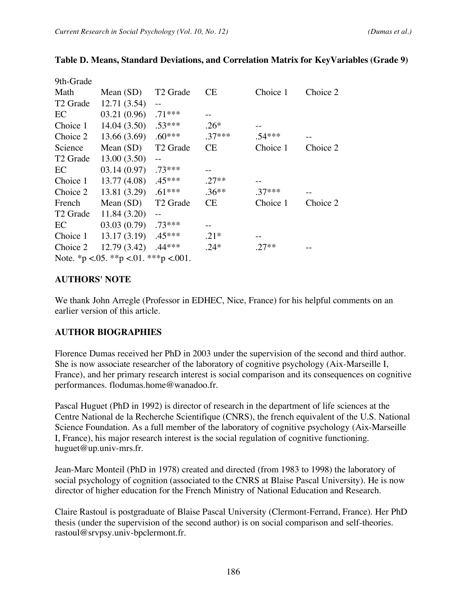| 9th-Grade                                 |             |                      |           |          |          |  |  |
|-------------------------------------------|-------------|----------------------|-----------|----------|----------|--|--|
| Math                                      | Mean $(SD)$ | T <sub>2</sub> Grade | <b>CE</b> | Choice 1 | Choice 2 |  |  |
| T <sub>2</sub> Grade                      | 12.71(3.54) | $-$                  |           |          |          |  |  |
| EC                                        | 03.21(0.96) | $.71***$             |           |          |          |  |  |
| Choice 1                                  | 14.04(3.50) | $.53***$             | $.26*$    |          |          |  |  |
| Choice 2                                  | 13.66(3.69) | $.60***$             | $.37***$  | $.54***$ |          |  |  |
| Science                                   | Mean $(SD)$ | T <sub>2</sub> Grade | <b>CE</b> | Choice 1 | Choice 2 |  |  |
| T <sub>2</sub> Grade                      | 13.00(3.50) | $-$                  |           |          |          |  |  |
| EC                                        | 03.14(0.97) | $.73***$             |           |          |          |  |  |
| Choice 1                                  | 13.77(4.08) | $.45***$             | $.27**$   |          |          |  |  |
| Choice 2                                  | 13.81(3.29) | $.61***$             | $.36**$   | $.37***$ | $ -$     |  |  |
| French                                    | Mean $(SD)$ | T <sub>2</sub> Grade | <b>CE</b> | Choice 1 | Choice 2 |  |  |
| T <sub>2</sub> Grade                      | 11.84(3.20) |                      |           |          |          |  |  |
| EC                                        | 03.03(0.79) | $.73***$             |           |          |          |  |  |
| Choice 1                                  | 13.17(3.19) | $.45***$             | $.21*$    |          |          |  |  |
| Choice 2                                  | 12.79(3.42) | $.44***$             | $.24*$    | $.27**$  |          |  |  |
| Note. *p < 0.05. **p < 0.01. ***p < 0.01. |             |                      |           |          |          |  |  |

### **Table D. Means, Standard Deviations, and Correlation Matrix for KeyVariables (Grade 9)**

### **AUTHORS' NOTE**

We thank John Arregle (Professor in EDHEC, Nice, France) for his helpful comments on an earlier version of this article.

# **AUTHOR BIOGRAPHIES**

Florence Dumas received her PhD in 2003 under the supervision of the second and third author. She is now associate researcher of the laboratory of cognitive psychology (Aix-Marseille I, France), and her primary research interest is social comparison and its consequences on cognitive performances. flodumas.home@wanadoo.fr.

Pascal Huguet (PhD in 1992) is director of research in the department of life sciences at the Centre National de la Recherche Scientifique (CNRS), the french equivalent of the U.S. National Science Foundation. As a full member of the laboratory of cognitive psychology (Aix-Marseille I, France), his major research interest is the social regulation of cognitive functioning. huguet@up.univ-mrs.fr.

Jean-Marc Monteil (PhD in 1978) created and directed (from 1983 to 1998) the laboratory of social psychology of cognition (associated to the CNRS at Blaise Pascal University). He is now director of higher education for the French Ministry of National Education and Research.

Claire Rastoul is postgraduate of Blaise Pascal University (Clermont-Ferrand, France). Her PhD thesis (under the supervision of the second author) is on social comparison and self-theories. rastoul@srvpsy.univ-bpclermont.fr.